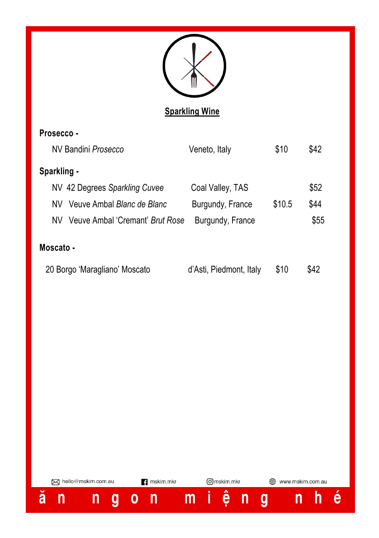

## **Sparkling Wine**

| Prosecco -                    |                                 |                         |        |      |
|-------------------------------|---------------------------------|-------------------------|--------|------|
| NV Bandini Prosecco           |                                 | Veneto, Italy           | \$10   | \$42 |
| Sparkling -                   |                                 |                         |        |      |
|                               | NV 42 Degrees Sparkling Cuvee   | Coal Valley, TAS        |        | \$52 |
| NV.                           | Veuve Ambal Blanc de Blanc      | Burgundy, France        | \$10.5 | \$44 |
| NV.                           | Veuve Ambal 'Cremant' Brut Rose | Burgundy, France        |        | \$55 |
| Moscato -                     |                                 |                         |        |      |
| 20 Borgo 'Maragliano' Moscato |                                 | d'Asti, Piedmont, Italy | \$10   | \$42 |

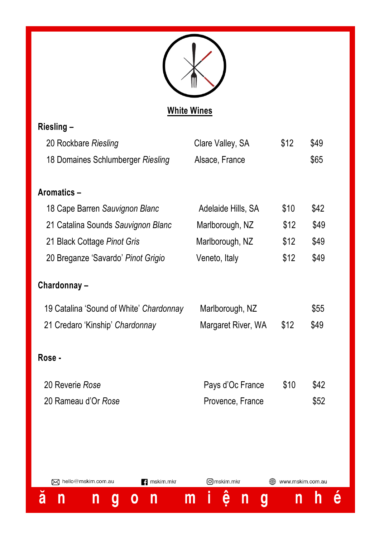

# **White Wines**

 $\equiv$  .

| Riesling –                              |                    |      |      |
|-----------------------------------------|--------------------|------|------|
| 20 Rockbare Riesling                    | Clare Valley, SA   | \$12 | \$49 |
| 18 Domaines Schlumberger Riesling       | Alsace, France     |      | \$65 |
|                                         |                    |      |      |
| Aromatics-                              |                    |      |      |
| 18 Cape Barren Sauvignon Blanc          | Adelaide Hills, SA | \$10 | \$42 |
| 21 Catalina Sounds Sauvignon Blanc      | Marlborough, NZ    | \$12 | \$49 |
| 21 Black Cottage Pinot Gris             | Marlborough, NZ    | \$12 | \$49 |
| 20 Breganze 'Savardo' Pinot Grigio      | Veneto, Italy      | \$12 | \$49 |
| Chardonnay-                             |                    |      |      |
| 19 Catalina 'Sound of White' Chardonnay | Marlborough, NZ    |      | \$55 |
| 21 Credaro 'Kinship' Chardonnay         | Margaret River, WA | \$12 | \$49 |
| Rose -                                  |                    |      |      |
| 20 Reverie Rose                         | Pays d'Oc France   | \$10 | \$42 |
| 20 Rameau d'Or Rose                     | Provence, France   |      | \$52 |
|                                         |                    |      |      |
|                                         |                    |      |      |

 $\mathbf{B}$  mskim.mkr M hello@mskim.com.au Omskim.mkr www.mskim.com.au h é  $\breve{\mathbf{a}}$ ệ n g í,  $\blacksquare$  $\overline{g}$  $\mathsf{n}$  $0<sub>n</sub>$  $\mathsf{n}$  $\mathsf{n}$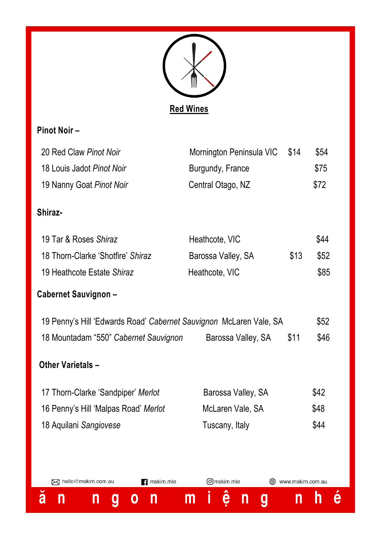

## **Pinot Noir –**

| 20 Red Claw Pinot Noir                                             | Mornington Peninsula VIC | \$14             | \$54 |
|--------------------------------------------------------------------|--------------------------|------------------|------|
| 18 Louis Jadot Pinot Noir                                          | Burgundy, France         |                  | \$75 |
| 19 Nanny Goat Pinot Noir                                           | Central Otago, NZ        |                  | \$72 |
| Shiraz-                                                            |                          |                  |      |
| 19 Tar & Roses Shiraz                                              | Heathcote, VIC           |                  | \$44 |
| 18 Thorn-Clarke 'Shotfire' Shiraz                                  | Barossa Valley, SA       | \$13             | \$52 |
| 19 Heathcote Estate Shiraz                                         | Heathcote, VIC           |                  | \$85 |
| Cabernet Sauvignon -                                               |                          |                  |      |
| 19 Penny's Hill 'Edwards Road' Cabernet Sauvignon McLaren Vale, SA |                          |                  | \$52 |
| 18 Mountadam "550" Cabernet Sauvignon                              | Barossa Valley, SA       | \$11             | \$46 |
| <b>Other Varietals -</b>                                           |                          |                  |      |
| 17 Thorn-Clarke 'Sandpiper' Merlot                                 | Barossa Valley, SA       |                  | \$42 |
| 16 Penny's Hill 'Malpas Road' Merlot                               | McLaren Vale, SA         |                  | \$48 |
| 18 Aquilani Sangiovese                                             | Tuscany, Italy           |                  | \$44 |
|                                                                    |                          |                  |      |
| 风 hello@mskim.com.au<br>mskim.mkr                                  | Omskim.mkr               | www.mskim.com.au |      |
| ă<br>n<br>n<br>n<br>0<br>g                                         | ê<br>Ī<br>m<br>n<br>g    | n                | h    |

 $\acute{\text{e}}$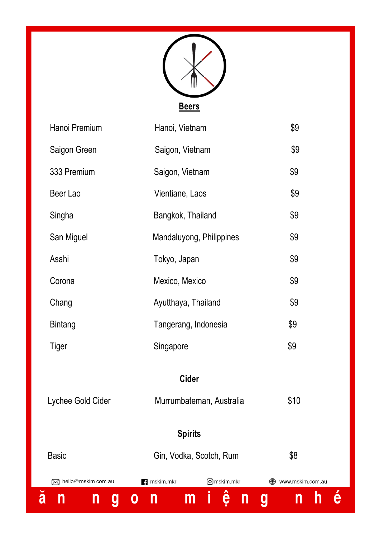

| San Miguel<br>Asahi  | Mandaluyong, Philippines<br>Tokyo, Japan | \$9<br>\$9            |
|----------------------|------------------------------------------|-----------------------|
| Corona               | Mexico, Mexico                           | \$9                   |
| Chang                | Ayutthaya, Thailand                      | \$9                   |
|                      |                                          |                       |
| Bintang              | Tangerang, Indonesia                     | \$9                   |
| Tiger                | Singapore                                | \$9                   |
| Lychee Gold Cider    | Cider<br>Murrumbateman, Australia        | \$10                  |
|                      | <b>Spirits</b>                           |                       |
| <b>Basic</b>         | \$8<br>Gin, Vodka, Scotch, Rum           |                       |
| 风 hello@mskim.com.au | Omskim.mkr<br><b>B</b> mskim.mkr         | ∰<br>www.mskim.com.au |
| ă<br>n<br>n<br>g     | İ<br>ê<br>$\mathsf{m}$<br>n<br>0<br>n    | h<br>g<br>n           |

 $\acute{\text{e}}$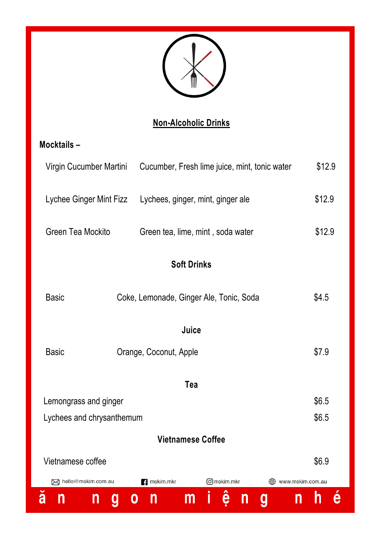

# **Non-Alcoholic Drinks**

# **Mocktails –**

| Virgin Cucumber Martini   | Cucumber, Fresh lime juice, mint, tonic water | \$12.9           |  |
|---------------------------|-----------------------------------------------|------------------|--|
| Lychee Ginger Mint Fizz   | Lychees, ginger, mint, ginger ale             | \$12.9           |  |
| Green Tea Mockito         | Green tea, lime, mint, soda water             | \$12.9           |  |
| <b>Soft Drinks</b>        |                                               |                  |  |
| <b>Basic</b>              | Coke, Lemonade, Ginger Ale, Tonic, Soda       | \$4.5            |  |
|                           | Juice                                         |                  |  |
| <b>Basic</b>              | Orange, Coconut, Apple                        | \$7.9            |  |
|                           | Tea                                           |                  |  |
| Lemongrass and ginger     |                                               | \$6.5            |  |
| Lychees and chrysanthemum |                                               | \$6.5            |  |
|                           | <b>Vietnamese Coffee</b>                      |                  |  |
| Vietnamese coffee         |                                               | \$6.9            |  |
| M hello@mskim.com.au      | Omskim.mkr<br><b>1</b> mskim.mkr              | www.mskim.com.au |  |
| ă<br>n<br>n<br>O<br>g     | i<br>ê<br>m<br>n<br>n<br>g<br>n               | h                |  |